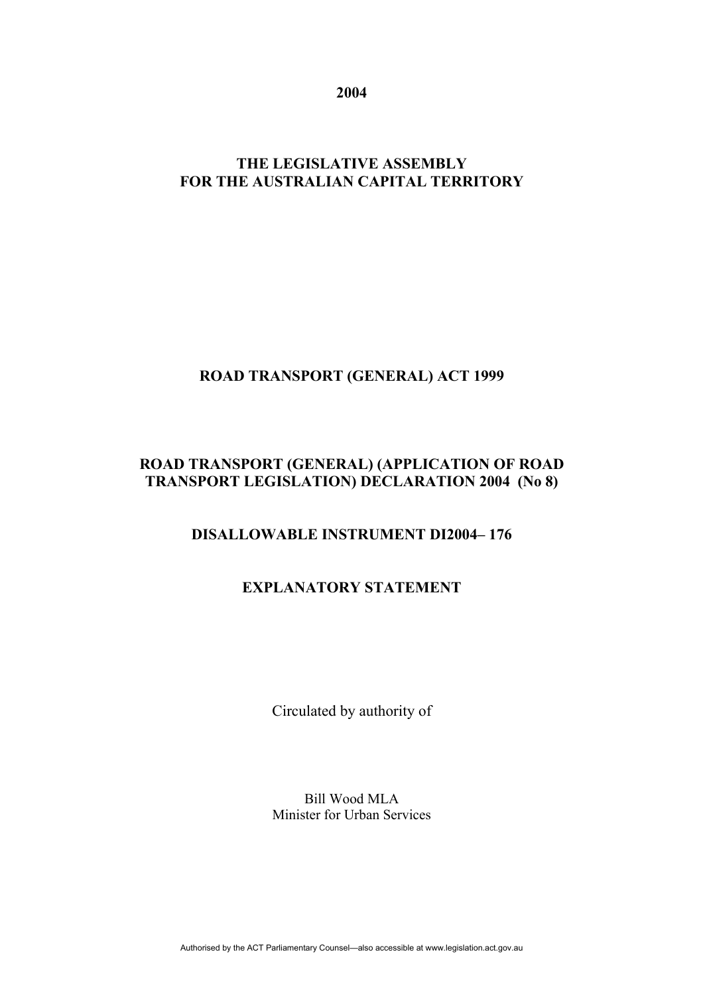**2004** 

# **THE LEGISLATIVE ASSEMBLY FOR THE AUSTRALIAN CAPITAL TERRITORY**

# **ROAD TRANSPORT (GENERAL) ACT 1999**

#### **ROAD TRANSPORT (GENERAL) (APPLICATION OF ROAD TRANSPORT LEGISLATION) DECLARATION 2004 (No 8)**

# **DISALLOWABLE INSTRUMENT DI2004– 176**

# **EXPLANATORY STATEMENT**

Circulated by authority of

Bill Wood MLA Minister for Urban Services